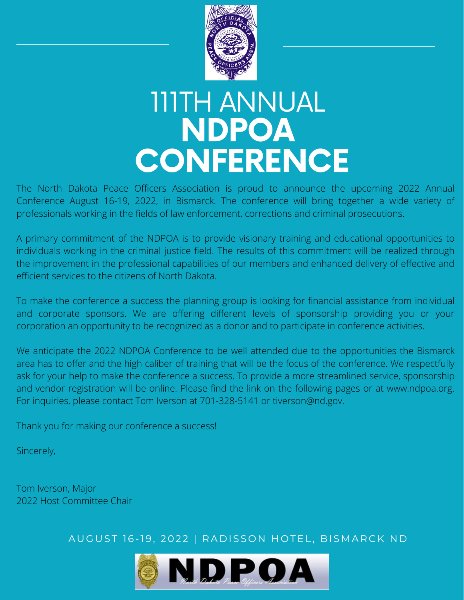

## 111TH ANNUAL NDPOA **CONFERENCE**

The North Dakota Peace Officers Association is proud to announce the upcoming 2022 Annual Conference August 16-19, 2022, in Bismarck. The conference will bring together a wide variety of professionals working in the fields of law enforcement, corrections and criminal prosecutions.

A primary commitment of the NDPOA is to provide visionary training and educational opportunities to individuals working in the criminal justice field. The results of this commitment will be realized through the improvement in the professional capabilities of our members and enhanced delivery of effective and efficient services to the citizens of North Dakota.

To make the conference a success the planning group is looking for financial assistance from individual and corporate sponsors. We are offering different levels of sponsorship providing you or your corporation an opportunity to be recognized as a donor and to participate in conference activities.

We anticipate the 2022 NDPOA Conference to be well attended due to the opportunities the Bismarck area has to offer and the high caliber of training that will be the focus of the conference. We respectfully ask for your help to make the conference a success. To provide a more streamlined service, sponsorship and vendor registration will be online. Please find the link on the following pages or at www.ndpoa.org. For inquiries, please contact Tom Iverson at 701-328-5141 or tiverson@nd.gov.

Thank you for making our conference a success!

Sincerely,

Tom Iverson, Major 2022 Host Committee Chair

AUGUST 16-19, 2022 | RADISSON HOTEL, BISMARCK ND

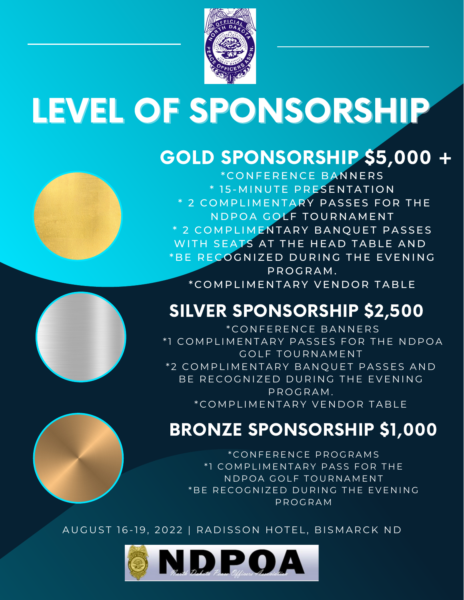

# LEVEL OF SPONSORSHIP

### GOLD SPONSORSHIP \$5,000 +





SILVER SPONSORSHIP \$2,500

\* C O N FE R E N C E B A N N E R S \*1 COMPLIMENTARY PASSES FOR THE NDPOA GOLF TOURNAMENT \*2 COMPLIMENTARY BANQUET PASSES AND BE RECOGNIZED DURING THE EVENING P R O G R A M . \* C O M P L I M E N T A R Y VE N D O R T A B LE

### BRONZE SPONSORSHIP \$1,000

\* C O N FE R E N C E P R O G R A M S \*1 COMPLIMENTARY PASS FOR THE N D P O A GOLF TOURNAMENT \*BE RECOGNIZED DURING THE EVENING P R O G R A M

AUGUST 16-19, 2022 | RADISSON HOTEL, BISMARCK ND